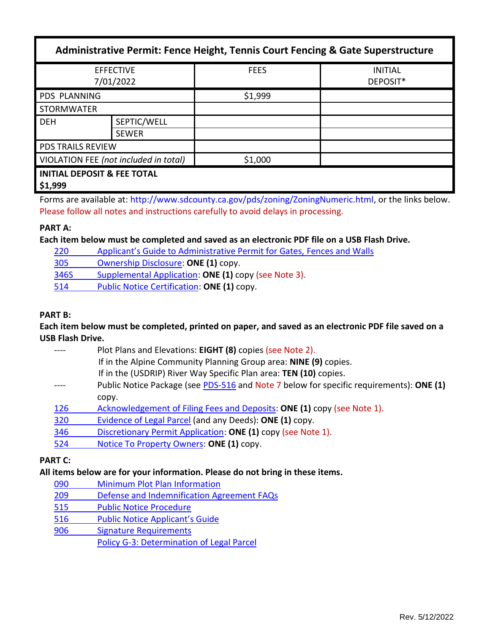| Administrative Permit: Fence Height, Tennis Court Fencing & Gate Superstructure |                             |             |                            |  |  |
|---------------------------------------------------------------------------------|-----------------------------|-------------|----------------------------|--|--|
| <b>EFFECTIVE</b><br>7/01/2022                                                   |                             | <b>FEES</b> | <b>INITIAL</b><br>DEPOSIT* |  |  |
| <b>PDS PLANNING</b>                                                             |                             | \$1,999     |                            |  |  |
| <b>STORMWATER</b>                                                               |                             |             |                            |  |  |
| <b>DEH</b>                                                                      | SEPTIC/WELL<br><b>SEWER</b> |             |                            |  |  |
| <b>PDS TRAILS REVIEW</b>                                                        |                             |             |                            |  |  |
| VIOLATION FEE (not included in total)                                           |                             | \$1,000     |                            |  |  |
| <b>INITIAL DEPOSIT &amp; FEE TOTAL</b><br>\$1,999                               |                             |             |                            |  |  |

Forms are available at[: http://www.sdcounty.ca.gov/pds/zoning/ZoningNumeric.html,](http://www.sdcounty.ca.gov/pds/zoning/ZoningNumeric.html) or the links below. Please follow all notes and instructions carefully to avoid delays in processing.

## **PART A:**

### **Each item below must be completed and saved as an electronic PDF file on a USB Flash Drive.**

220 Applica[nt's Guide to Administrative Permit for Gates,](https://www.sandiegocounty.gov/content/dam/sdc/pds/zoning/formfields/PDS-PLN-220.pdf) Fences and Walls

[305 Ownership Disclosure:](https://www.sandiegocounty.gov/content/dam/sdc/pds/zoning/formfields/PDS-PLN-305.pdf) **ONE (1)** copy.

- [346S Supplemental Application:](https://www.sandiegocounty.gov/content/dam/sdc/pds/zoning/formfields/PDS-PLN-346S.pdf) **ONE (1)** copy (see Note 3).
- 514 [Public Notice Certification:](https://www.sandiegocounty.gov/content/dam/sdc/pds/zoning/formfields/PDS-PLN-514.pdf) **ONE (1)** copy.

### **PART B:**

# **Each item below must be completed, printed on paper, and saved as an electronic PDF file saved on a USB Flash Drive.**

|     | Plot Plans and Elevations: EIGHT (8) copies (see Note 2).                               |
|-----|-----------------------------------------------------------------------------------------|
|     | If in the Alpine Community Planning Group area: NINE (9) copies.                        |
|     | If in the (USDRIP) River Way Specific Plan area: TEN (10) copies.                       |
|     | Public Notice Package (see PDS-516 and Note 7 below for specific requirements): ONE (1) |
|     | CODV.                                                                                   |
| 126 | Acknowledgement of Filing Fees and Deposits: ONE (1) copy (see Note 1).                 |
| 320 | Evidence of Legal Parcel (and any Deeds): ONE (1) copy.                                 |

- 346 [Discretionary Permit Application:](https://www.sandiegocounty.gov/content/dam/sdc/pds/zoning/formfields/PDS-PLN-346.pdf) **ONE (1)** copy (see Note 1).
- 524 [Notice To Property Owners:](https://www.sandiegocounty.gov/content/dam/sdc/pds/zoning/formfields/PDS-PLN-524.pdf) **ONE (1)** copy.

### **PART C:**

# **All items below are for your information. Please do not bring in these items.**

- 090 [Minimum Plot Plan Information](http://www.sdcounty.ca.gov/pds/docs/pds090.pdf)
- 209 [Defense and Indemnification Agreement FAQs](https://www.sandiegocounty.gov/content/dam/sdc/pds/zoning/formfields/PDS-PLN-209.pdf)
- [515 Public Notice Procedure](https://www.sandiegocounty.gov/content/dam/sdc/pds/zoning/formfields/PDS-PLN-515.pdf)
- [516 Public Notice Appl](https://www.sandiegocounty.gov/content/dam/sdc/pds/zoning/formfields/PDS-PLN-516.pdf)icant's Guide
- [906 Signature Requirements](https://www.sandiegocounty.gov/content/dam/sdc/pds/zoning/formfields/PDS-PLN-906.pdf)
	- Policy [G-3: Determination of Legal Parcel](http://www.sdcounty.ca.gov/pds/zoning/formfields/POLICY-G-3.pdf)